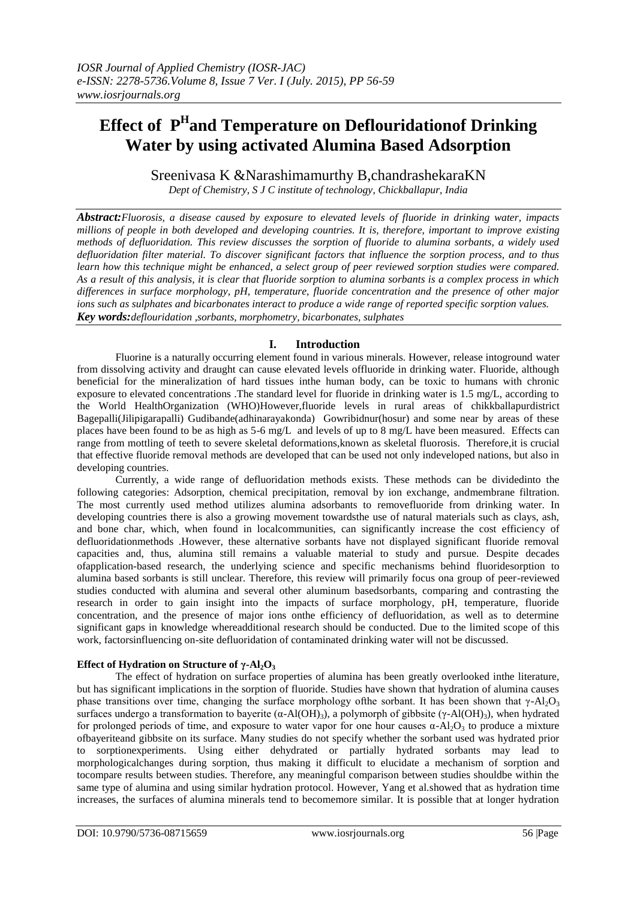# **Effect of P H and Temperature on Deflouridationof Drinking Water by using activated Alumina Based Adsorption**

Sreenivasa K &Narashimamurthy B,chandrashekaraKN

*Dept of Chemistry, S J C institute of technology, Chickballapur, India*

*Abstract:Fluorosis, a disease caused by exposure to elevated levels of fluoride in drinking water, impacts millions of people in both developed and developing countries. It is, therefore, important to improve existing methods of defluoridation. This review discusses the sorption of fluoride to alumina sorbants, a widely used defluoridation filter material. To discover significant factors that influence the sorption process, and to thus learn how this technique might be enhanced, a select group of peer reviewed sorption studies were compared. As a result of this analysis, it is clear that fluoride sorption to alumina sorbants is a complex process in which differences in surface morphology, pH, temperature, fluoride concentration and the presence of other major ions such as sulphates and bicarbonates interact to produce a wide range of reported specific sorption values. Key words:deflouridation ,sorbants, morphometry, bicarbonates, sulphates*

# **I. Introduction**

Fluorine is a naturally occurring element found in various minerals. However, release intoground water from dissolving activity and draught can cause elevated levels offluoride in drinking water. Fluoride, although beneficial for the mineralization of hard tissues inthe human body, can be toxic to humans with chronic exposure to elevated concentrations .The standard level for fluoride in drinking water is 1.5 mg/L, according to the World HealthOrganization (WHO)However,fluoride levels in rural areas of chikkballapurdistrict Bagepalli(Jilipigarapalli) Gudibande(adhinarayakonda) Gowribidnur(hosur) and some near by areas of these places have been found to be as high as 5-6 mg/L and levels of up to 8 mg/L have been measured. Effects can range from mottling of teeth to severe skeletal deformations,known as skeletal fluorosis. Therefore,it is crucial that effective fluoride removal methods are developed that can be used not only indeveloped nations, but also in developing countries.

Currently, a wide range of defluoridation methods exists. These methods can be dividedinto the following categories: Adsorption, chemical precipitation, removal by ion exchange, andmembrane filtration. The most currently used method utilizes alumina adsorbants to removefluoride from drinking water. In developing countries there is also a growing movement towardsthe use of natural materials such as clays, ash, and bone char, which, when found in localcommunities, can significantly increase the cost efficiency of defluoridationmethods .However, these alternative sorbants have not displayed significant fluoride removal capacities and, thus, alumina still remains a valuable material to study and pursue. Despite decades ofapplication-based research, the underlying science and specific mechanisms behind fluoridesorption to alumina based sorbants is still unclear. Therefore, this review will primarily focus ona group of peer-reviewed studies conducted with alumina and several other aluminum basedsorbants, comparing and contrasting the research in order to gain insight into the impacts of surface morphology, pH, temperature, fluoride concentration, and the presence of major ions onthe efficiency of defluoridation, as well as to determine significant gaps in knowledge whereadditional research should be conducted. Due to the limited scope of this work, factorsinfluencing on-site defluoridation of contaminated drinking water will not be discussed.

# **Effect of Hydration on Structure of γ-Al2O<sup>3</sup>**

The effect of hydration on surface properties of alumina has been greatly overlooked inthe literature, but has significant implications in the sorption of fluoride. Studies have shown that hydration of alumina causes phase transitions over time, changing the surface morphology of the sorbant. It has been shown that  $\gamma$ -Al<sub>2</sub>O<sub>3</sub> surfaces undergo a transformation to bayerite (α-Al(OH)<sub>3</sub>), a polymorph of gibbsite (γ-Al(OH)<sub>3</sub>), when hydrated for prolonged periods of time, and exposure to water vapor for one hour causes  $\alpha$ -Al<sub>2</sub>O<sub>3</sub> to produce a mixture ofbayeriteand gibbsite on its surface. Many studies do not specify whether the sorbant used was hydrated prior to sorptionexperiments. Using either dehydrated or partially hydrated sorbants may lead to morphologicalchanges during sorption, thus making it difficult to elucidate a mechanism of sorption and tocompare results between studies. Therefore, any meaningful comparison between studies shouldbe within the same type of alumina and using similar hydration protocol. However, Yang et al.showed that as hydration time increases, the surfaces of alumina minerals tend to becomemore similar. It is possible that at longer hydration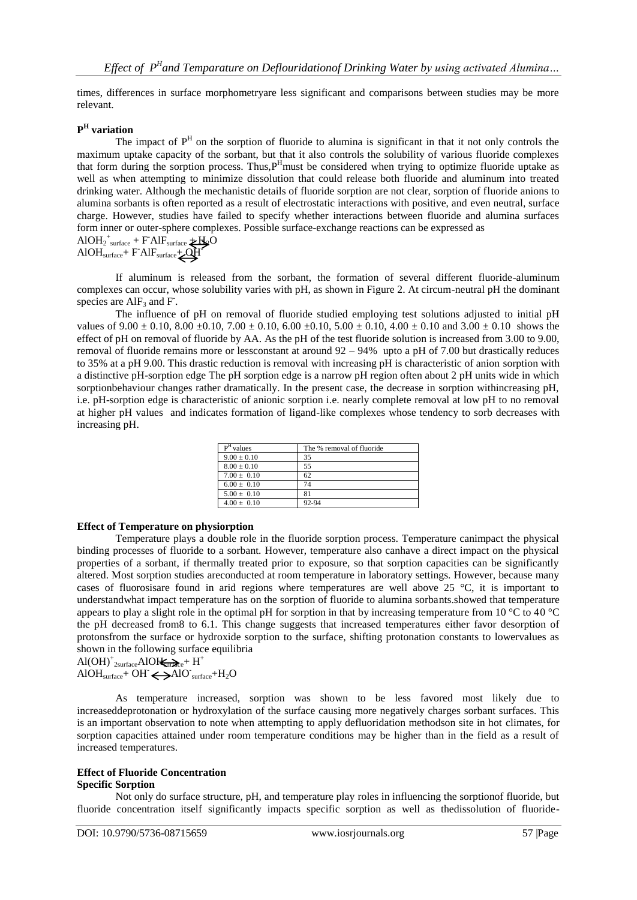times, differences in surface morphometryare less significant and comparisons between studies may be more relevant.

## **P H variation**

The impact of  $P<sup>H</sup>$  on the sorption of fluoride to alumina is significant in that it not only controls the maximum uptake capacity of the sorbant, but that it also controls the solubility of various fluoride complexes that form during the sorption process. Thus, P<sup>H</sup>must be considered when trying to optimize fluoride uptake as well as when attempting to minimize dissolution that could release both fluoride and aluminum into treated drinking water. Although the mechanistic details of fluoride sorption are not clear, sorption of fluoride anions to alumina sorbants is often reported as a result of electrostatic interactions with positive, and even neutral, surface charge. However, studies have failed to specify whether interactions between fluoride and alumina surfaces form inner or outer-sphere complexes. Possible surface-exchange reactions can be expressed as  $AIOH_2^+$ <sub>surface</sub> + F $~AIF$ <sub>surface</sub>  $\neq$  H<sub>2</sub>O

$$
AIOHsurface + FAIFsurface + QH
$$

If aluminum is released from the sorbant, the formation of several different fluoride-aluminum complexes can occur, whose solubility varies with pH, as shown in Figure 2. At circum-neutral pH the dominant species are  $\text{AlF}_3$  and F.

The influence of pH on removal of fluoride studied employing test solutions adjusted to initial pH values of  $9.00 \pm 0.10$ ,  $8.00 \pm 0.10$ ,  $7.00 \pm 0.10$ ,  $6.00 \pm 0.10$ ,  $5.00 \pm 0.10$ ,  $4.00 \pm 0.10$  and  $3.00 \pm 0.10$  shows the effect of pH on removal of fluoride by AA. As the pH of the test fluoride solution is increased from 3.00 to 9.00, removal of fluoride remains more or lessconstant at around 92 – 94% upto a pH of 7.00 but drastically reduces to 35% at a pH 9.00. This drastic reduction is removal with increasing pH is characteristic of anion sorption with a distinctive pH-sorption edge The pH sorption edge is a narrow pH region often about 2 pH units wide in which sorptionbehaviour changes rather dramatically. In the present case, the decrease in sorption withincreasing pH, i.e. pH-sorption edge is characteristic of anionic sorption i.e. nearly complete removal at low pH to no removal at higher pH values and indicates formation of ligand-like complexes whose tendency to sorb decreases with increasing pH.

| $PH$ values     | The % removal of fluoride |
|-----------------|---------------------------|
| $9.00 \pm 0.10$ | 35                        |
| $8.00 \pm 0.10$ | 55                        |
| $7.00 \pm 0.10$ | 62                        |
| $6.00 \pm 0.10$ | 74                        |
| $5.00 \pm 0.10$ |                           |
| $4.00 \pm 0.10$ | 92-94                     |

#### **Effect of Temperature on physiorption**

Temperature plays a double role in the fluoride sorption process. Temperature canimpact the physical binding processes of fluoride to a sorbant. However, temperature also canhave a direct impact on the physical properties of a sorbant, if thermally treated prior to exposure, so that sorption capacities can be significantly altered. Most sorption studies areconducted at room temperature in laboratory settings. However, because many cases of fluorosisare found in arid regions where temperatures are well above 25 °C, it is important to understandwhat impact temperature has on the sorption of fluoride to alumina sorbants.showed that temperature appears to play a slight role in the optimal pH for sorption in that by increasing temperature from 10  $^{\circ}$ C to 40  $^{\circ}$ C the pH decreased from8 to 6.1. This change suggests that increased temperatures either favor desorption of protonsfrom the surface or hydroxide sorption to the surface, shifting protonation constants to lowervalues as shown in the following surface equilibria

 $\text{Al}(\text{OH})_{\text{2surface}}^{\text{+}} \text{Al} \text{OH}_{\text{2surface}}^{\text{+}} + \text{H}^{\text{+}}$  $AIOH<sub>surface</sub>+OH \Leftrightarrow AIO<sub>surface</sub>+H<sub>2</sub>O$ 

As temperature increased, sorption was shown to be less favored most likely due to increaseddeprotonation or hydroxylation of the surface causing more negatively charges sorbant surfaces. This is an important observation to note when attempting to apply defluoridation methodson site in hot climates, for sorption capacities attained under room temperature conditions may be higher than in the field as a result of increased temperatures.

# **Effect of Fluoride Concentration**

#### **Specific Sorption**

Not only do surface structure, pH, and temperature play roles in influencing the sorptionof fluoride, but fluoride concentration itself significantly impacts specific sorption as well as thedissolution of fluoride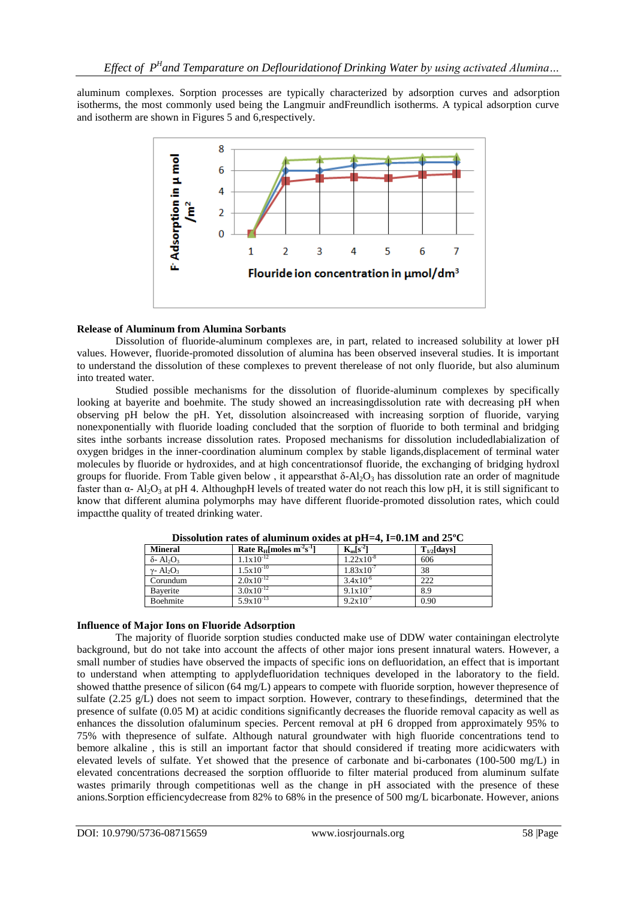aluminum complexes. Sorption processes are typically characterized by adsorption curves and adsorption isotherms, the most commonly used being the Langmuir andFreundlich isotherms. A typical adsorption curve and isotherm are shown in Figures 5 and 6,respectively.



# **Release of Aluminum from Alumina Sorbants**

Dissolution of fluoride-aluminum complexes are, in part, related to increased solubility at lower pH values. However, fluoride-promoted dissolution of alumina has been observed inseveral studies. It is important to understand the dissolution of these complexes to prevent therelease of not only fluoride, but also aluminum into treated water.

Studied possible mechanisms for the dissolution of fluoride-aluminum complexes by specifically looking at bayerite and boehmite. The study showed an increasingdissolution rate with decreasing pH when observing pH below the pH. Yet, dissolution alsoincreased with increasing sorption of fluoride, varying nonexponentially with fluoride loading concluded that the sorption of fluoride to both terminal and bridging sites inthe sorbants increase dissolution rates. Proposed mechanisms for dissolution includedlabialization of oxygen bridges in the inner-coordination aluminum complex by stable ligands,displacement of terminal water molecules by fluoride or hydroxides, and at high concentrationsof fluoride, the exchanging of bridging hydroxl groups for fluoride. From Table given below, it appears that  $\delta$ -Al<sub>2</sub>O<sub>3</sub> has dissolution rate an order of magnitude faster than  $\alpha$ - Al<sub>2</sub>O<sub>3</sub> at pH 4. AlthoughpH levels of treated water do not reach this low pH, it is still significant to know that different alumina polymorphs may have different fluoride-promoted dissolution rates, which could impactthe quality of treated drinking water.

| <b>Mineral</b>                            | Rate $R_H$ moles $m^2s^{-1}$ | $K_m[s^2]$            | $T_{1/2}$ [days] |
|-------------------------------------------|------------------------------|-----------------------|------------------|
| $\delta$ - Al <sub>2</sub> O <sub>3</sub> | $1.1x10^{-12}$               | $1.22 \times 10^{-8}$ | 606              |
| $\gamma$ - Al <sub>2</sub> O <sub>3</sub> | $1.5x10^{-10}$               | $1.83 \times 10^{-7}$ | 38               |
| Corundum                                  | $2.0x10^{-12}$               | $3.4x10^{-6}$         | 222              |
| Bayerite                                  | $3.0x10^{-12}$               | $9.1x10^{-7}$         | 8.9              |
| Boehmite                                  | $5.9x10^{-13}$               | $9.2 \times 10^{-7}$  | 0.90             |

**Dissolution rates of aluminum oxides at pH=4, I=0.1M and 25ºC**

# **Influence of Major Ions on Fluoride Adsorption**

The majority of fluoride sorption studies conducted make use of DDW water containingan electrolyte background, but do not take into account the affects of other major ions present innatural waters. However, a small number of studies have observed the impacts of specific ions on defluoridation, an effect that is important to understand when attempting to applydefluoridation techniques developed in the laboratory to the field. showed thatthe presence of silicon (64 mg/L) appears to compete with fluoride sorption, however thepresence of sulfate (2.25  $g/L$ ) does not seem to impact sorption. However, contrary to thesefindings, determined that the presence of sulfate (0.05 M) at acidic conditions significantly decreases the fluoride removal capacity as well as enhances the dissolution ofaluminum species. Percent removal at pH 6 dropped from approximately 95% to 75% with thepresence of sulfate. Although natural groundwater with high fluoride concentrations tend to bemore alkaline , this is still an important factor that should considered if treating more acidicwaters with elevated levels of sulfate. Yet showed that the presence of carbonate and bi-carbonates (100-500 mg/L) in elevated concentrations decreased the sorption offluoride to filter material produced from aluminum sulfate wastes primarily through competitionas well as the change in pH associated with the presence of these anions.Sorption efficiencydecrease from 82% to 68% in the presence of 500 mg/L bicarbonate. However, anions